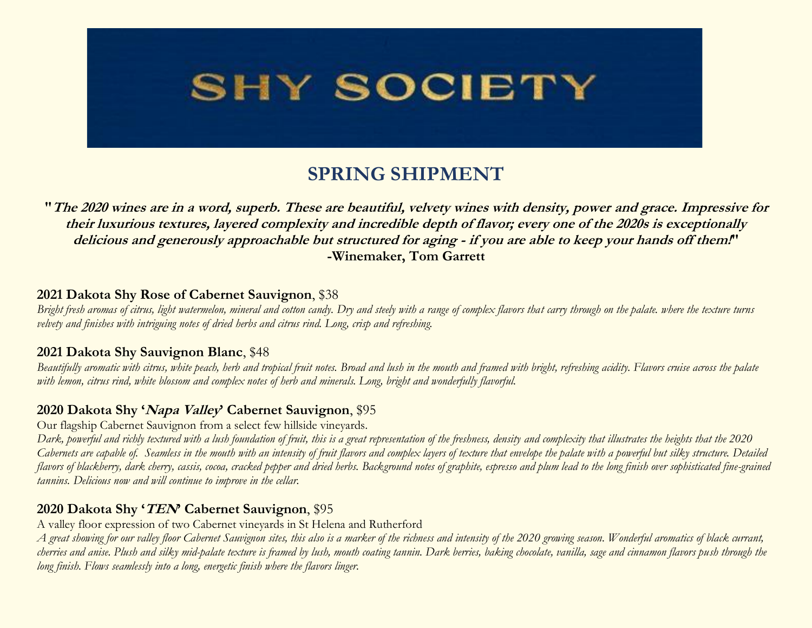

# **SPRING SHIPMENT**

**"The 2020 wines are in a word, superb. These are beautiful, velvety wines with density, power and grace. Impressive for their luxurious textures, layered complexity and incredible depth of flavor; every one of the 2020s is exceptionally delicious and generously approachable but structured for aging - if you are able to keep your hands off them!" -Winemaker, Tom Garrett**

#### **2021 Dakota Shy Rose of Cabernet Sauvignon**, \$38

*Bright fresh aromas of citrus, light watermelon, mineral and cotton candy. Dry and steely with a range of complex flavors that carry through on the palate. where the texture turns velvety and finishes with intriguing notes of dried herbs and citrus rind. Long, crisp and refreshing.*

#### **2021 Dakota Shy Sauvignon Blanc**, \$48

*Beautifully aromatic with citrus, white peach, herb and tropical fruit notes. Broad and lush in the mouth and framed with bright, refreshing acidity. Flavors cruise across the palate with lemon, citrus rind, white blossom and complex notes of herb and minerals. Long, bright and wonderfully flavorful.* 

### **2020 Dakota Shy 'Napa Valley' Cabernet Sauvignon**, \$95

Our flagship Cabernet Sauvignon from a select few hillside vineyards.

*Dark, powerful and richly textured with a lush foundation of fruit, this is a great representation of the freshness, density and complexity that illustrates the heights that the 2020 Cabernets are capable of. Seamless in the mouth with an intensity of fruit flavors and complex layers of texture that envelope the palate with a powerful but silky structure. Detailed flavors of blackberry, dark cherry, cassis, cocoa, cracked pepper and dried herbs. Background notes of graphite, espresso and plum lead to the long finish over sophisticated fine-grained tannins. Delicious now and will continue to improve in the cellar.*

#### **2020 Dakota Shy 'TEN' Cabernet Sauvignon**, \$95

A valley floor expression of two Cabernet vineyards in St Helena and Rutherford

*A great showing for our valley floor Cabernet Sauvignon sites, this also is a marker of the richness and intensity of the 2020 growing season. Wonderful aromatics of black currant, cherries and anise. Plush and silky mid-palate texture is framed by lush, mouth coating tannin. Dark berries, baking chocolate, vanilla, sage and cinnamon flavors push through the long finish. Flows seamlessly into a long, energetic finish where the flavors linger.*